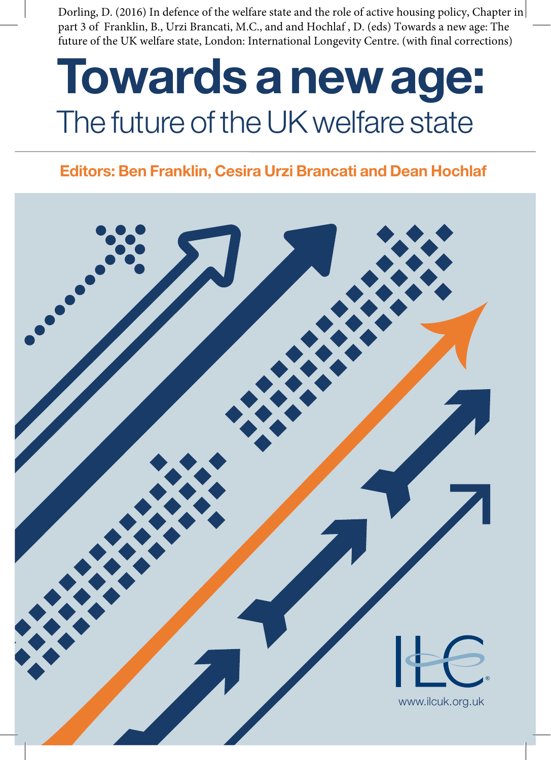Dorling, D. (2016) In defence of the welfare state and the role of active housing policy, Chapter in part 3 of Franklin, B., Urzi Brancati, M.C., and and Hochlaf , D. (eds) Towards a new age: The future of the UK welfare state, London: International Longevity Centre. (with final corrections)

# **Towards a new age:**  The future of the UK welfare state

# **Editors: Ben Franklin, Cesira Urzi Brancati and Dean Hochlaf**

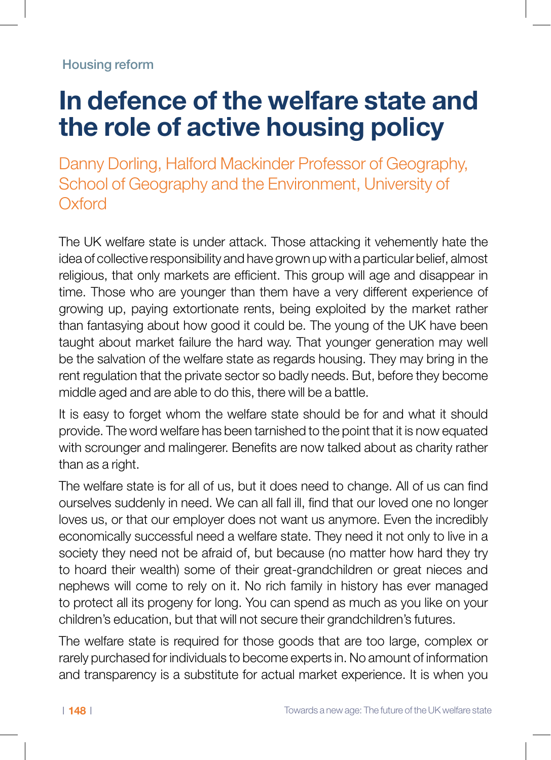# **In defence of the welfare state and the role of active housing policy**

Danny Dorling, Halford Mackinder Professor of Geography, School of Geography and the Environment, University of **Oxford** 

The UK welfare state is under attack. Those attacking it vehemently hate the idea of collective responsibility and have grown up with a particular belief, almost religious, that only markets are efficient. This group will age and disappear in time. Those who are younger than them have a very different experience of growing up, paying extortionate rents, being exploited by the market rather than fantasying about how good it could be. The young of the UK have been taught about market failure the hard way. That younger generation may well be the salvation of the welfare state as regards housing. They may bring in the rent regulation that the private sector so badly needs. But, before they become middle aged and are able to do this, there will be a battle.

It is easy to forget whom the welfare state should be for and what it should provide. The word welfare has been tarnished to the point that it is now equated with scrounger and malingerer. Benefits are now talked about as charity rather than as a right.

The welfare state is for all of us, but it does need to change. All of us can find ourselves suddenly in need. We can all fall ill, find that our loved one no longer loves us, or that our employer does not want us anymore. Even the incredibly economically successful need a welfare state. They need it not only to live in a society they need not be afraid of, but because (no matter how hard they try to hoard their wealth) some of their great-grandchildren or great nieces and nephews will come to rely on it. No rich family in history has ever managed to protect all its progeny for long. You can spend as much as you like on your children's education, but that will not secure their grandchildren's futures.

The welfare state is required for those goods that are too large, complex or rarely purchased for individuals to become experts in. No amount of information and transparency is a substitute for actual market experience. It is when you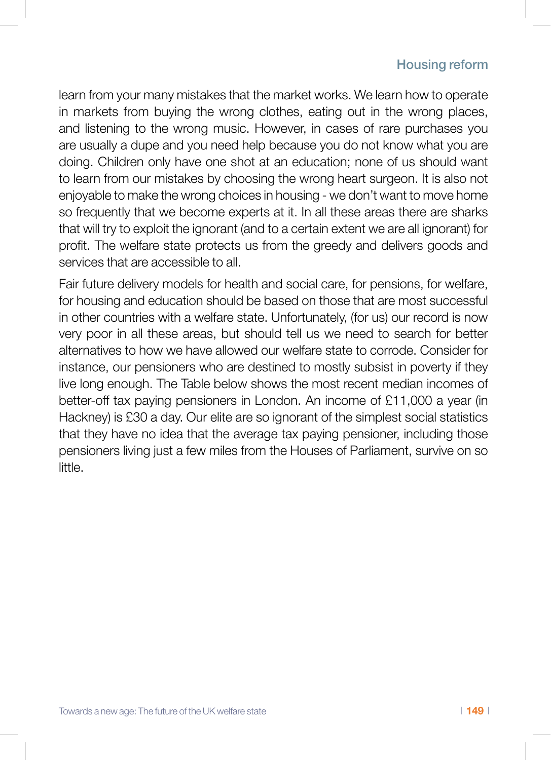learn from your many mistakes that the market works. We learn how to operate in markets from buying the wrong clothes, eating out in the wrong places, and listening to the wrong music. However, in cases of rare purchases you are usually a dupe and you need help because you do not know what you are doing. Children only have one shot at an education; none of us should want to learn from our mistakes by choosing the wrong heart surgeon. It is also not enjoyable to make the wrong choices in housing - we don't want to move home so frequently that we become experts at it. In all these areas there are sharks that will try to exploit the ignorant (and to a certain extent we are all ignorant) for profit. The welfare state protects us from the greedy and delivers goods and services that are accessible to all.

Fair future delivery models for health and social care, for pensions, for welfare, for housing and education should be based on those that are most successful in other countries with a welfare state. Unfortunately, (for us) our record is now very poor in all these areas, but should tell us we need to search for better alternatives to how we have allowed our welfare state to corrode. Consider for instance, our pensioners who are destined to mostly subsist in poverty if they live long enough. The Table below shows the most recent median incomes of better-off tax paying pensioners in London. An income of £11,000 a year (in Hackney) is £30 a day. Our elite are so ignorant of the simplest social statistics that they have no idea that the average tax paying pensioner, including those pensioners living just a few miles from the Houses of Parliament, survive on so little.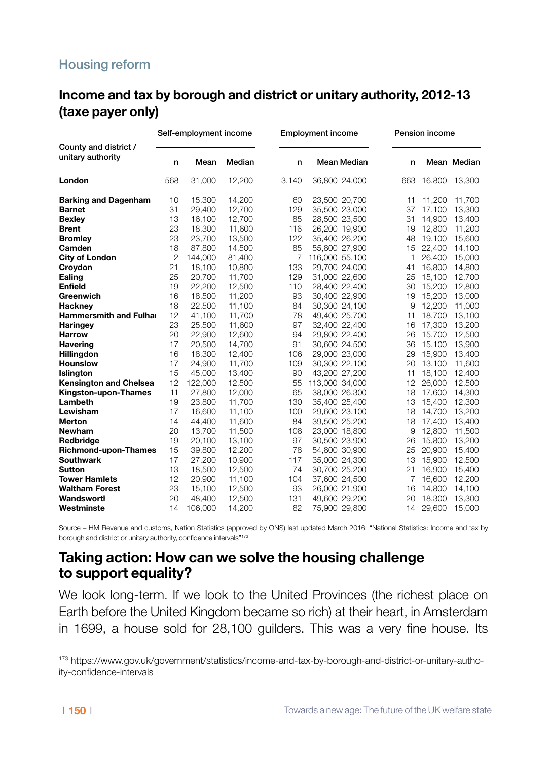# **Income and tax by borough and district or unitary authority, 2012-13 Income and tax by borough and district or unitary authority, 2012-13** (taxe payer only)

|                                            | Self-employment income |         |        |       | <b>Employment income</b> |     | Pension income |             |  |
|--------------------------------------------|------------------------|---------|--------|-------|--------------------------|-----|----------------|-------------|--|
| County and district /<br>unitary authority | n                      | Mean    | Median | n     | Mean Median              | n   |                | Mean Median |  |
| London                                     | 568                    | 31,000  | 12,200 | 3,140 | 36,800 24,000            | 663 | 16,800         | 13,300      |  |
| <b>Barking and Dagenham</b>                | 10                     | 15,300  | 14,200 | 60    | 23,500 20,700            | 11  | 11,200         | 11,700      |  |
| <b>Barnet</b>                              | 31                     | 29,400  | 12,700 | 129   | 35,500 23,000            | 37  | 17,100         | 13,300      |  |
| <b>Bexley</b>                              | 13                     | 16,100  | 12,700 | 85    | 28,500 23,500            | 31  | 14,900         | 13,400      |  |
| <b>Brent</b>                               | 23                     | 18,300  | 11,600 | 116   | 26,200 19,900            | 19  | 12,800         | 11,200      |  |
| <b>Bromley</b>                             | 23                     | 23,700  | 13,500 | 122   | 35,400 26,200            | 48  | 19,100         | 15,600      |  |
| Camden                                     | 18                     | 87,800  | 14.500 | 85    | 55,800 27,900            | 15  | 22,400         | 14,100      |  |
| <b>City of London</b>                      | 2                      | 144,000 | 81,400 | 7     | 116,000 55,100           | 1   | 26,400         | 15,000      |  |
| Croydon                                    | 21                     | 18,100  | 10,800 | 133   | 29,700 24,000            | 41  | 16,800         | 14,800      |  |
| Ealing                                     | 25                     | 20,700  | 11,700 | 129   | 31,000 22,600            | 25  | 15,100         | 12,700      |  |
| Enfield                                    | 19                     | 22,200  | 12,500 | 110   | 28,400 22,400            | 30  | 15,200         | 12,800      |  |
| Greenwich                                  | 16                     | 18,500  | 11,200 | 93    | 30,400 22,900            | 19  | 15,200         | 13,000      |  |
| Hackney                                    | 18                     | 22,500  | 11,100 | 84    | 30,300 24,100            | 9   | 12.200         | 11,000      |  |
| <b>Hammersmith and Fulhar</b>              | 12                     | 41.100  | 11.700 | 78    | 49,400 25,700            | 11  | 18.700         | 13.100      |  |
| <b>Haringey</b>                            | 23                     | 25,500  | 11,600 | 97    | 32,400 22,400            | 16  | 17,300         | 13,200      |  |
| <b>Harrow</b>                              | 20                     | 22,900  | 12,600 | 94    | 29,800 22,400            | 26  | 15,700         | 12,500      |  |
| <b>Havering</b>                            | 17                     | 20,500  | 14,700 | 91    | 30,600 24,500            | 36  | 15,100         | 13,900      |  |
| <b>Hillingdon</b>                          | 16                     | 18,300  | 12,400 | 106   | 29,000 23,000            | 29  | 15.900         | 13,400      |  |
| <b>Hounslow</b>                            | 17                     | 24.900  | 11.700 | 109   | 30.300 22.100            | 20  | 13.100         | 11,600      |  |
| <b>Islington</b>                           | 15                     | 45,000  | 13.400 | 90    | 43.200 27.200            | 11  | 18.100         | 12,400      |  |
| <b>Kensington and Chelsea</b>              | 12                     | 122,000 | 12,500 | 55    | 113,000 34,000           | 12  | 26,000         | 12,500      |  |
| Kingston-upon-Thames                       | 11                     | 27,800  | 12,000 | 65    | 38,000 26,300            | 18  | 17,600         | 14,300      |  |
| Lambeth                                    | 19                     | 23,800  | 11,700 | 130   | 35,400 25,400            | 13  | 15,400         | 12,300      |  |
| Lewisham                                   | 17                     | 16,600  | 11,100 | 100   | 29,600 23,100            | 18  | 14,700         | 13,200      |  |
| Merton                                     | 14                     | 44.400  | 11.600 | 84    | 39,500 25,200            | 18  | 17.400         | 13,400      |  |
| <b>Newham</b>                              | 20                     | 13,700  | 11,500 | 108   | 23,000 18,800            | 9   | 12,800         | 11,500      |  |
| Redbridge                                  | 19                     | 20,100  | 13,100 | 97    | 30,500 23,900            | 26  | 15,800         | 13,200      |  |
| Richmond-upon-Thames                       | 15                     | 39,800  | 12,200 | 78    | 54,800 30,900            | 25  | 20,900         | 15,400      |  |
| <b>Southwark</b>                           | 17                     | 27,200  | 10,900 | 117   | 35,000 24,300            | 13  | 15,900         | 12,500      |  |
| Sutton                                     | 13                     | 18,500  | 12,500 | 74    | 30,700 25,200            | 21  | 16,900         | 15,400      |  |
| <b>Tower Hamlets</b>                       | 12                     | 20,900  | 11.100 | 104   | 37.600 24.500            | 7   | 16.600         | 12,200      |  |
| <b>Waltham Forest</b>                      | 23                     | 15,100  | 12,500 | 93    | 26,000 21,900            | 16  | 14,800         | 14,100      |  |
| Wandsworth                                 | 20                     | 48,400  | 12,500 | 131   | 49,600 29,200            | 20  | 18,300         | 13,300      |  |
| Westminste                                 | 14                     | 106,000 | 14,200 | 82    | 75,900 29,800            | 14  | 29,600         | 15,000      |  |
|                                            |                        |         |        |       |                          |     |                |             |  |

Source – HM Revenue and customs, Nation Statistics (approved by ONS) last updated March 2016: "National Statistics: Income and tax by borough and district or unitary authority, confidence intervals"173

# **Taking action: How can we solve the housing challenge to support equality?**

We look long-term. If we look to the United Provinces (the richest place on Earth before the United Kingdom became so rich) at their heart, in Amsterdam in 1699, a house sold for 28,100 guilders. This was a very fine house. Its

<sup>173</sup> https://www.gov.uk/government/statistics/income-and-tax-by-borough-and-district-or-unitary-authoity-confidence-intervals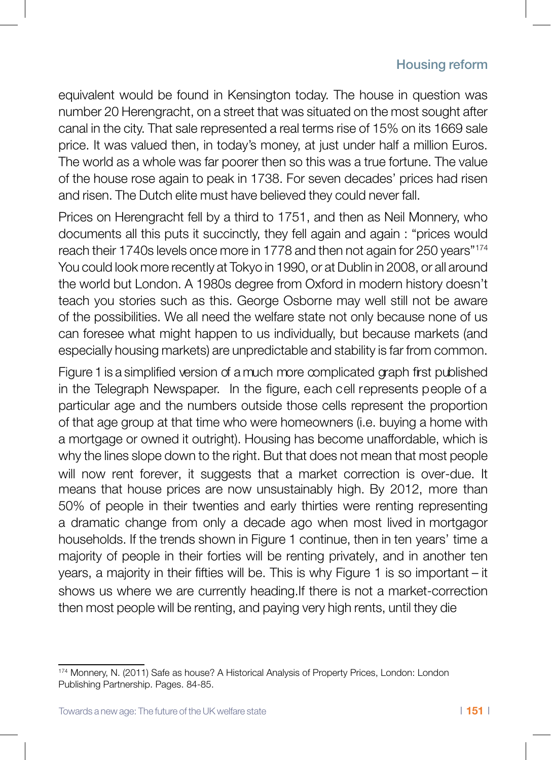equivalent would be found in Kensington today. The house in question was number 20 Herengracht, on a street that was situated on the most sought after canal in the city. That sale represented a real terms rise of 15% on its 1669 sale price. It was valued then, in today's money, at just under half a million Euros. The world as a whole was far poorer then so this was a true fortune. The value of the house rose again to peak in 1738. For seven decades' prices had risen and risen. The Dutch elite must have believed they could never fall.

Prices on Herengracht fell by a third to 1751, and then as Neil Monnery, who documents all this puts it succinctly, they fell again and again : "prices would reach their 1740s levels once more in 1778 and then not again for 250 years"174 You could look more recently at Tokyo in 1990, or at Dublin in 2008, or all around the world but London. A 1980s degree from Oxford in modern history doesn't teach you stories such as this. George Osborne may well still not be aware of the possibilities. We all need the welfare state not only because none of us can foresee what might happen to us individually, but because markets (and especially housing markets) are unpredictable and stability is far from common.

Figure 1 is a simplified version of a much more complicated graph first published in the Telegraph Newspaper. In the figure, each cell represents people of a particular age and the numbers outside those cells represent the proportion of that age group at that time who were homeowners (i.e. buying a home with a mortgage or owned it outright). Housing has become unaffordable, which is why the lines slope down to the right. But that does not mean that most people will now rent forever, it suggests that a market correction is over-due. It means that house prices are now unsustainably high. By 2012, more than 50% of people in their twenties and early thirties were renting representing a dramatic change from only a decade ago when most lived in mortgagor households. If the trends shown in Figure 1 continue, then in ten years' time a majority of people in their forties will be renting privately, and in another ten years, a majority in their fifties will be. This is why Figure 1 is so important – it shows us where we are currently heading.If there is not a market-correction then most people will be renting, and paying very high rents, until they die

<sup>174</sup> Monnery, N. (2011) Safe as house? A Historical Analysis of Property Prices, London: London Publishing Partnership. Pages. 84-85.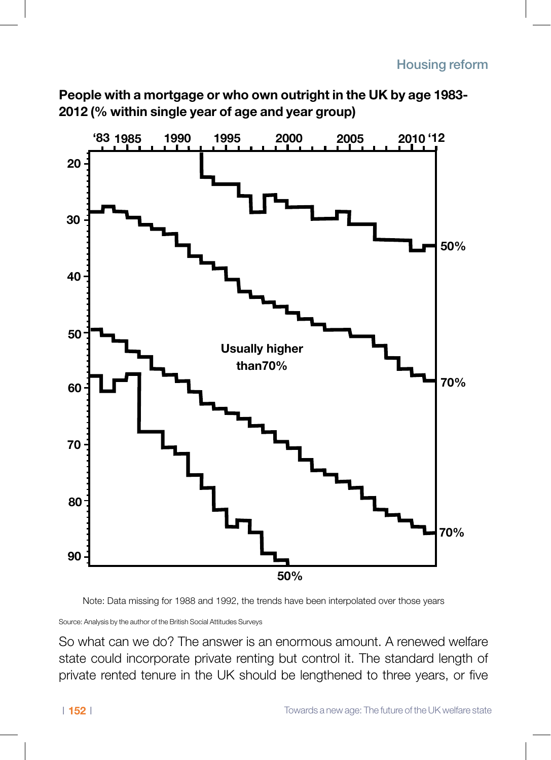**People with a mortgage or who own outright in the UK by age 1983- 2012 (% within single year of age and year group)**



Note: Data missing for 1988 and 1992, the trends have been interpolated over those years

Source: Analysis by the author of the British Social Attitudes Surveys

So what can we do? The answer is an enormous amount. A renewed welfare state could incorporate private renting but control it. The standard length of private rented tenure in the UK should be lengthened to three years, or five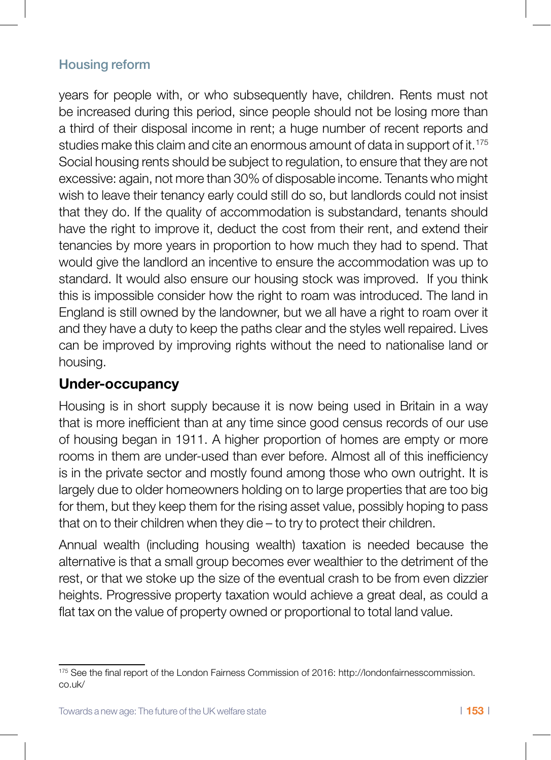years for people with, or who subsequently have, children. Rents must not be increased during this period, since people should not be losing more than a third of their disposal income in rent; a huge number of recent reports and studies make this claim and cite an enormous amount of data in support of it.<sup>175</sup> Social housing rents should be subject to regulation, to ensure that they are not excessive: again, not more than 30% of disposable income. Tenants who might wish to leave their tenancy early could still do so, but landlords could not insist that they do. If the quality of accommodation is substandard, tenants should have the right to improve it, deduct the cost from their rent, and extend their tenancies by more years in proportion to how much they had to spend. That would give the landlord an incentive to ensure the accommodation was up to standard. It would also ensure our housing stock was improved. If you think this is impossible consider how the right to roam was introduced. The land in England is still owned by the landowner, but we all have a right to roam over it and they have a duty to keep the paths clear and the styles well repaired. Lives can be improved by improving rights without the need to nationalise land or housing.

# **Under-occupancy**

Housing is in short supply because it is now being used in Britain in a way that is more inefficient than at any time since good census records of our use of housing began in 1911. A higher proportion of homes are empty or more rooms in them are under-used than ever before. Almost all of this inefficiency is in the private sector and mostly found among those who own outright. It is largely due to older homeowners holding on to large properties that are too big for them, but they keep them for the rising asset value, possibly hoping to pass that on to their children when they die – to try to protect their children.

Annual wealth (including housing wealth) taxation is needed because the alternative is that a small group becomes ever wealthier to the detriment of the rest, or that we stoke up the size of the eventual crash to be from even dizzier heights. Progressive property taxation would achieve a great deal, as could a flat tax on the value of property owned or proportional to total land value.

<sup>175</sup> See the final report of the London Fairness Commission of 2016: http://londonfairnesscommission. co.uk/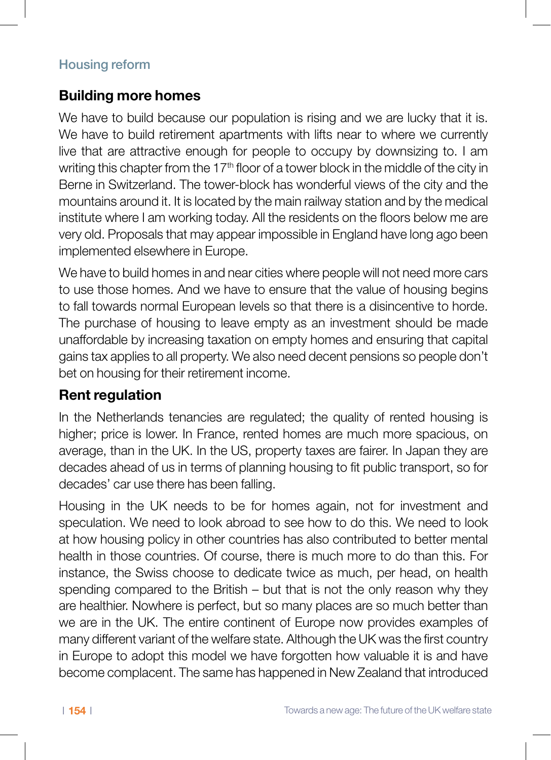# **Building more homes**

We have to build because our population is rising and we are lucky that it is. We have to build retirement apartments with lifts near to where we currently live that are attractive enough for people to occupy by downsizing to. I am writing this chapter from the  $17<sup>th</sup>$  floor of a tower block in the middle of the city in Berne in Switzerland. The tower-block has wonderful views of the city and the mountains around it. It is located by the main railway station and by the medical institute where I am working today. All the residents on the floors below me are very old. Proposals that may appear impossible in England have long ago been implemented elsewhere in Europe.

We have to build homes in and near cities where people will not need more cars to use those homes. And we have to ensure that the value of housing begins to fall towards normal European levels so that there is a disincentive to horde. The purchase of housing to leave empty as an investment should be made unaffordable by increasing taxation on empty homes and ensuring that capital gains tax applies to all property. We also need decent pensions so people don't bet on housing for their retirement income.

# **Rent regulation**

In the Netherlands tenancies are regulated; the quality of rented housing is higher; price is lower. In France, rented homes are much more spacious, on average, than in the UK. In the US, property taxes are fairer. In Japan they are decades ahead of us in terms of planning housing to fit public transport, so for decades' car use there has been falling.

Housing in the UK needs to be for homes again, not for investment and speculation. We need to look abroad to see how to do this. We need to look at how housing policy in other countries has also contributed to better mental health in those countries. Of course, there is much more to do than this. For instance, the Swiss choose to dedicate twice as much, per head, on health spending compared to the British – but that is not the only reason why they are healthier. Nowhere is perfect, but so many places are so much better than we are in the UK. The entire continent of Europe now provides examples of many different variant of the welfare state. Although the UK was the first country in Europe to adopt this model we have forgotten how valuable it is and have become complacent. The same has happened in New Zealand that introduced